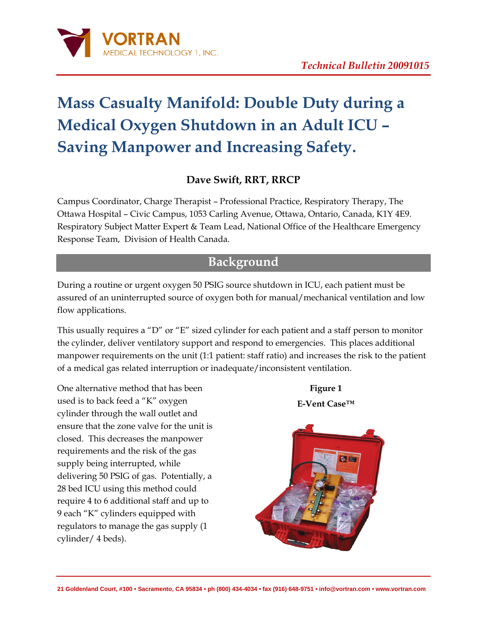

# **Mass Casualty Manifold: Double Duty during a Medical Oxygen Shutdown in an Adult ICU – Saving Manpower and Increasing Safety.**

#### **Dave Swift, RRT, RRCP**

Campus Coordinator, Charge Therapist – Professional Practice, Respiratory Therapy, The Ottawa Hospital – Civic Campus, 1053 Carling Avenue, Ottawa, Ontario, Canada, K1Y 4E9. Respiratory Subject Matter Expert & Team Lead, National Office of the Healthcare Emergency Response Team, Division of Health Canada.

## **Background**

During a routine or urgent oxygen 50 PSIG source shutdown in ICU, each patient must be assured of an uninterrupted source of oxygen both for manual/mechanical ventilation and low flow applications.

This usually requires a "D" or "E" sized cylinder for each patient and a staff person to monitor the cylinder, deliver ventilatory support and respond to emergencies. This places additional manpower requirements on the unit (1:1 patient: staff ratio) and increases the risk to the patient of a medical gas related interruption or inadequate/inconsistent ventilation.

One alternative method that has been used is to back feed a "K" oxygen cylinder through the wall outlet and ensure that the zone valve for the unit is closed. This decreases the manpower requirements and the risk of the gas supply being interrupted, while delivering 50 PSIG of gas. Potentially, a 28 bed ICU using this method could require 4 to 6 additional staff and up to 9 each "K" cylinders equipped with regulators to manage the gas supply (1 cylinder/ 4 beds).

**Figure 1 E-Vent Case™**